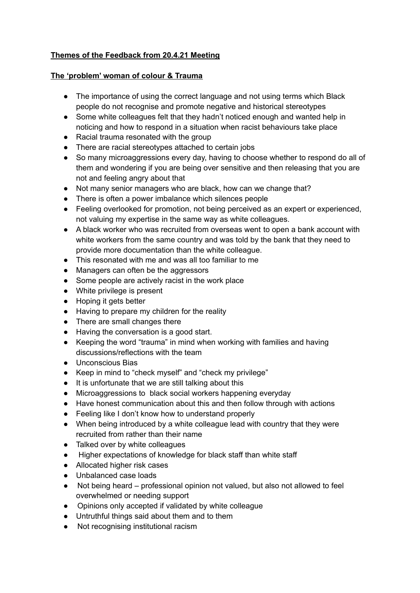## **Themes of the Feedback from 20.4.21 Meeting**

## **The 'problem' woman of colour & Trauma**

- The importance of using the correct language and not using terms which Black people do not recognise and promote negative and historical stereotypes
- Some white colleagues felt that they hadn't noticed enough and wanted help in noticing and how to respond in a situation when racist behaviours take place
- Racial trauma resonated with the group
- There are racial stereotypes attached to certain jobs
- So many microaggressions every day, having to choose whether to respond do all of them and wondering if you are being over sensitive and then releasing that you are not and feeling angry about that
- Not many senior managers who are black, how can we change that?
- There is often a power imbalance which silences people
- Feeling overlooked for promotion, not being perceived as an expert or experienced, not valuing my expertise in the same way as white colleagues.
- A black worker who was recruited from overseas went to open a bank account with white workers from the same country and was told by the bank that they need to provide more documentation than the white colleague.
- This resonated with me and was all too familiar to me
- Managers can often be the aggressors
- Some people are actively racist in the work place
- White privilege is present
- Hoping it gets better
- Having to prepare my children for the reality
- There are small changes there
- Having the conversation is a good start.
- Keeping the word "trauma" in mind when working with families and having discussions/reflections with the team
- Unconscious Bias
- Keep in mind to "check myself" and "check my privilege"
- It is unfortunate that we are still talking about this
- Microaggressions to black social workers happening everyday
- Have honest communication about this and then follow through with actions
- Feeling like I don't know how to understand properly
- When being introduced by a white colleague lead with country that they were recruited from rather than their name
- Talked over by white colleagues
- Higher expectations of knowledge for black staff than white staff
- Allocated higher risk cases
- Unbalanced case loads
- Not being heard professional opinion not valued, but also not allowed to feel overwhelmed or needing support
- Opinions only accepted if validated by white colleague
- Untruthful things said about them and to them
- Not recognising institutional racism